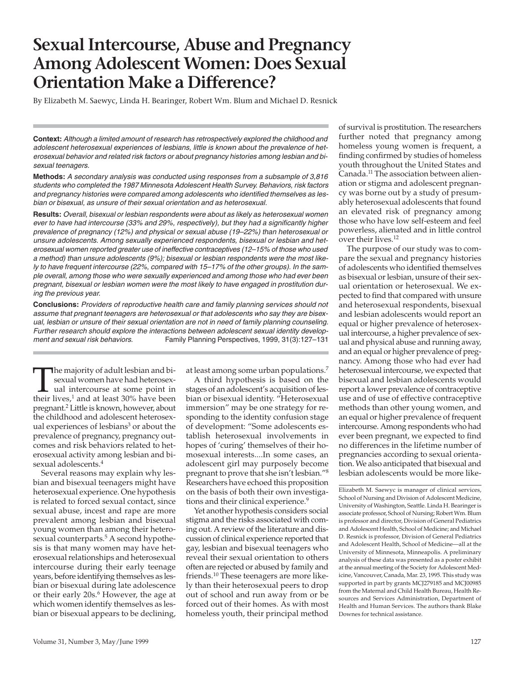# **Sexual Intercourse, Abuse and Pregnancy Among Adolescent Women: Does Sexual Orientation Make a Difference?**

By Elizabeth M. Saewyc, Linda H. Bearinger, Robert Wm. Blum and Michael D. Resnick

**Context:** *Although a limited amount of research has retrospectively explored the childhood and adolescent heterosexual experiences of lesbians, little is known about the prevalence of heterosexual behavior and related risk factors or about pregnancy histories among lesbian and bisexual teenagers.*

**Methods:** *A secondary analysis was conducted using responses from a subsample of 3,816 students who completed the 1987 Minnesota Adolescent Health Survey. Behaviors, risk factors and pregnancy histories were compared among adolescents who identified themselves as lesbian or bisexual, as unsure of their sexual orientation and as heterosexual.*

**Results:** *Overall, bisexual or lesbian respondents were about as likely as heterosexual women ever to have had intercourse (33% and 29%, respectively), but they had a significantly higher prevalence of pregnancy (12%) and physical or sexual abuse (19–22%) than heterosexual or unsure adolescents. Among sexually experienced respondents, bisexual or lesbian and heterosexual women reported greater use of ineffective contraceptives (12–15% of those who used a method) than unsure adolescents (9%); bisexual or lesbian respondents were the most likely to have frequent intercourse (22%, compared with 15–17% of the other groups). In the sample overall, among those who were sexually experienced and among those who had ever been pregnant, bisexual or lesbian women were the most likely to have engaged in prostitution during the previous year.*

**Conclusions:** *Providers of reproductive health care and family planning services should not assume that pregnant teenagers are heterosexual or that adolescents who say they are bisexual, lesbian or unsure of their sexual orientation are not in need of family planning counseling. Further research should explore the interactions between adolescent sexual identity development and sexual risk behaviors.* Family Planning Perspectives, 1999, 31(3):127–131

The majority of adult lesbian and bisexual women have had heterosexual intercourse at some point in their lives.<sup>1</sup> and at least 30% have been sexual women have had heterosexual intercourse at some point in their lives, $1$  and at least 30% have been pregnant.2 Little is known, however, about the childhood and adolescent heterosexual experiences of lesbians<sup>3</sup> or about the prevalence of pregnancy, pregnancy outcomes and risk behaviors related to heterosexual activity among lesbian and bisexual adolescents.<sup>4</sup>

Several reasons may explain why lesbian and bisexual teenagers might have heterosexual experience. One hypothesis is related to forced sexual contact, since sexual abuse, incest and rape are more prevalent among lesbian and bisexual young women than among their heterosexual counterparts.<sup>5</sup> A second hypothesis is that many women may have heterosexual relationships and heterosexual intercourse during their early teenage years, before identifying themselves as lesbian or bisexual during late adolescence or their early 20s.<sup>6</sup> However, the age at which women identify themselves as lesbian or bisexual appears to be declining, at least among some urban populations.7

A third hypothesis is based on the stages of an adolescent's acquisition of lesbian or bisexual identity. "Heterosexual immersion" may be one strategy for responding to the identity confusion stage of development: "Some adolescents establish heterosexual involvements in hopes of 'curing' themselves of their homosexual interests....In some cases, an adolescent girl may purposely become pregnant to prove that she isn't lesbian."8 Researchers have echoed this proposition on the basis of both their own investigations and their clinical experience.<sup>9</sup>

Yet another hypothesis considers social stigma and the risks associated with coming out. A review of the literature and discussion of clinical experience reported that gay, lesbian and bisexual teenagers who reveal their sexual orientation to others often are rejected or abused by family and friends.10 These teenagers are more likely than their heterosexual peers to drop out of school and run away from or be forced out of their homes. As with most homeless youth, their principal method

of survival is prostitution. The researchers further noted that pregnancy among homeless young women is frequent, a finding confirmed by studies of homeless youth throughout the United States and Canada.11 The association between alienation or stigma and adolescent pregnancy was borne out by a study of presumably heterosexual adolescents that found an elevated risk of pregnancy among those who have low self-esteem and feel powerless, alienated and in little control over their lives.12

The purpose of our study was to compare the sexual and pregnancy histories of adolescents who identified themselves as bisexual or lesbian, unsure of their sexual orientation or heterosexual. We expected to find that compared with unsure and heterosexual respondents, bisexual and lesbian adolescents would report an equal or higher prevalence of heterosexual intercourse, a higher prevalence of sexual and physical abuse and running away, and an equal or higher prevalence of pregnancy. Among those who had ever had heterosexual intercourse, we expected that bisexual and lesbian adolescents would report a lower prevalence of contraceptive use and of use of effective contraceptive methods than other young women, and an equal or higher prevalence of frequent intercourse. Among respondents who had ever been pregnant, we expected to find no differences in the lifetime number of pregnancies according to sexual orientation. We also anticipated that bisexual and lesbian adolescents would be more like-

Elizabeth M. Saewyc is manager of clinical services, School of Nursing and Division of Adolescent Medicine, University of Washington, Seattle. Linda H. Bearinger is associate professor, School of Nursing; Robert Wm. Blum is professor and director, Division of General Pediatrics and Adolescent Health, School of Medicine; and Michael D. Resnick is professor, Division of General Pediatrics and Adolescent Health, School of Medicine—all at the University of Minnesota, Minneapolis. A preliminary analysis of these data was presented as a poster exhibit at the annual meeting of the Society for Adolescent Medicine, Vancouver, Canada, Mar. 23, 1995. This study was supported in part by grants MCJ279185 and MCJ00985 from the Maternal and Child Health Bureau, Health Resources and Services Administration, Department of Health and Human Services. The authors thank Blake Downes for technical assistance.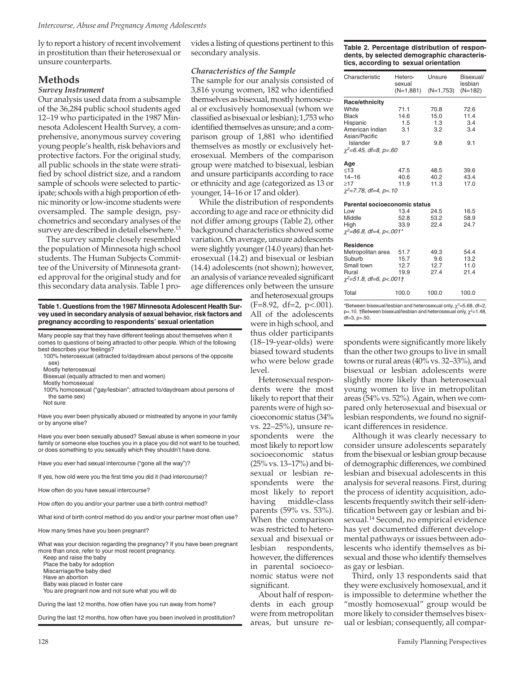ly to report a history of recent involvement in prostitution than their heterosexual or unsure counterparts.

## **Methods**

#### *Survey Instrument*

Our analysis used data from a subsample of the 36,284 public school students aged 12–19 who participated in the 1987 Minnesota Adolescent Health Survey, a comprehensive, anonymous survey covering young people's health, risk behaviors and protective factors. For the original study, all public schools in the state were stratified by school district size, and a random sample of schools were selected to participate; schools with a high proportion of ethnic minority or low-income students were oversampled. The sample design, psychometrics and secondary analyses of the survey are described in detail elsewhere.<sup>13</sup>

The survey sample closely resembled the population of Minnesota high school students. The Human Subjects Committee of the University of Minnesota granted approval for the original study and for this secondary data analysis. Table 1 provides a listing of questions pertinent to this secondary analysis.

#### *Characteristics of the Sample*

The sample for our analysis consisted of 3,816 young women, 182 who identified themselves as bisexual, mostly homosexual or exclusively homosexual (whom we classified as bisexual or lesbian); 1,753 who identified themselves as unsure; and a comparison group of 1,881 who identified themselves as mostly or exclusively heterosexual. Members of the comparison group were matched to bisexual, lesbian and unsure participants according to race or ethnicity and age (categorized as 13 or younger, 14–16 or 17 and older).

While the distribution of respondents according to age and race or ethnicity did not differ among groups (Table 2), other background characteristics showed some variation. On average, unsure adolescents were slightly younger (14.0 years) than heterosexual (14.2) and bisexual or lesbian (14.4) adolescents (not shown); however, an analysis of variance revealed significant age differences only between the unsure

**Table 1. Questions from the 1987 Minnesota Adolescent Health Survey used in secondary analysis of sexual behavior, risk factors and pregnancy according to respondents' sexual orientation**

Many people say that they have different feelings about themselves when it comes to questions of being attracted to other people. Which of the following best describes your feelings?

- 100% heterosexual (attracted to/daydream about persons of the opposite sex)
- Mostly heterosexual Bisexual (equally attracted to men and women)
- Mostly homosexual
- 100% homosexual ("gay/lesbian"; attracted to/daydream about persons of the same sex)
- Not sure

Have you ever been physically abused or mistreated by anyone in your family or by anyone else?

Have you ever been sexually abused? Sexual abuse is when someone in your family or someone else touches you in a place you did not want to be touched, or does something to you sexually which they shouldn't have done.

- Have you ever had sexual intercourse ("gone all the way")?
- If yes, how old were you the first time you did it (had intercourse)?
- How often do you have sexual intercourse?
- How often do you and/or your partner use a birth control method?
- What kind of birth control method do you and/or your partner most often use?

How many times have you been pregnant?

What was your decision regarding the pregnancy? If you have been pregnant more than once, refer to your most recent pregnancy.

Keep and raise the baby Place the baby for adoption Miscarriage/the baby died Have an abortion Baby was placed in foster care

You are pregnant now and not sure what you will do

During the last 12 months, how often have you run away from home?

During the last 12 months, how often have you been involved in prostitution?

**Table 2. Percentage distribution of respondents, by selected demographic characteristics, according to sexual orientation**

| Hetero-<br>sexual | Unsure                                                                                                                                                                                                                                | Bisexual/<br>lesbian                                                                                                               |
|-------------------|---------------------------------------------------------------------------------------------------------------------------------------------------------------------------------------------------------------------------------------|------------------------------------------------------------------------------------------------------------------------------------|
|                   | (N=1,753)                                                                                                                                                                                                                             | $(N=182)$                                                                                                                          |
|                   |                                                                                                                                                                                                                                       |                                                                                                                                    |
| 71.1              | 70.8                                                                                                                                                                                                                                  | 72.6                                                                                                                               |
| 14.6              | 15.0                                                                                                                                                                                                                                  | 11.4                                                                                                                               |
| 1.5               | 1.3                                                                                                                                                                                                                                   | 3.4                                                                                                                                |
| 3.1               | 3.2                                                                                                                                                                                                                                   | 3.4                                                                                                                                |
|                   |                                                                                                                                                                                                                                       |                                                                                                                                    |
| 9.7               |                                                                                                                                                                                                                                       | 9.1                                                                                                                                |
|                   |                                                                                                                                                                                                                                       |                                                                                                                                    |
|                   |                                                                                                                                                                                                                                       |                                                                                                                                    |
|                   |                                                                                                                                                                                                                                       | 39.6                                                                                                                               |
|                   |                                                                                                                                                                                                                                       | 43.4                                                                                                                               |
|                   |                                                                                                                                                                                                                                       | 17.0                                                                                                                               |
|                   |                                                                                                                                                                                                                                       |                                                                                                                                    |
|                   |                                                                                                                                                                                                                                       |                                                                                                                                    |
|                   |                                                                                                                                                                                                                                       | 16.5                                                                                                                               |
|                   |                                                                                                                                                                                                                                       | 58.9                                                                                                                               |
|                   |                                                                                                                                                                                                                                       | 24.7                                                                                                                               |
|                   |                                                                                                                                                                                                                                       |                                                                                                                                    |
|                   |                                                                                                                                                                                                                                       |                                                                                                                                    |
|                   |                                                                                                                                                                                                                                       | 54.4                                                                                                                               |
|                   |                                                                                                                                                                                                                                       | 13.2                                                                                                                               |
|                   |                                                                                                                                                                                                                                       | 11.0                                                                                                                               |
|                   |                                                                                                                                                                                                                                       | 21.4                                                                                                                               |
|                   |                                                                                                                                                                                                                                       |                                                                                                                                    |
| 100.0             | 100.0                                                                                                                                                                                                                                 | 100.0                                                                                                                              |
|                   | $\chi^2$ =6.45, df=8, p=.60<br>47.5<br>40.6<br>11.9<br>$\gamma^2 = 7.78$ , df=4, p=.10<br>13.4<br>52.8<br>33.9<br>$\chi^2$ =86.8, df=4, p<.001*<br>Metropolitan area<br>51.7<br>15.7<br>12.7<br>19.9<br>$\chi^2$ =51.8, df=6, p<.001† | $(N=1,881)$<br>9.8<br>48.5<br>40.2<br>11.3<br>Parental socioeconomic status<br>24.5<br>53.2<br>22.4<br>49.3<br>9.6<br>12.7<br>27.4 |

\*Between bisexual/lesbian and heterosexual only,  $\chi^2$ =5.68, df=2,<br>p=.10. †Between bisexual/lesbian and heterosexual only,  $\chi^2$ =1.48,  $df = 3$ ,  $p > .50$ .

spondents were significantly more likely than the other two groups to live in small towns or rural areas (40% vs. 32–33%), and bisexual or lesbian adolescents were slightly more likely than heterosexual young women to live in metropolitan areas (54% vs. 52%). Again, when we compared only heterosexual and bisexual or lesbian respondents, we found no significant differences in residence.

Although it was clearly necessary to consider unsure adolescents separately from the bisexual or lesbian group because of demographic differences, we combined lesbian and bisexual adolescents in this analysis for several reasons. First, during the process of identity acquisition, adolescents frequently switch their self-identification between gay or lesbian and bisexual.14 Second, no empirical evidence has yet documented different developmental pathways or issues between adolescents who identify themselves as bisexual and those who identify themselves as gay or lesbian.

Third, only 13 respondents said that they were exclusively homosexual, and it is impossible to determine whether the "mostly homosexual" group would be more likely to consider themselves bisexual or lesbian; consequently, all compar-

(F=8.92, df=2, p<.001). All of the adolescents were in high school, and thus older participants (18–19-year-olds) were biased toward students who were below grade level.

and heterosexual groups

Heterosexual respondents were the most likely to report that their parents were of high socioeconomic status (34% vs. 22–25%), unsure respondents were the most likely to report low socioeconomic status (25% vs. 13–17%) and bisexual or lesbian respondents were the most likely to report having middle-class parents (59% vs. 53%). When the comparison was restricted to heterosexual and bisexual or lesbian respondents, however, the differences in parental socioeconomic status were not significant.

About half of respondents in each group were from metropolitan areas, but unsure re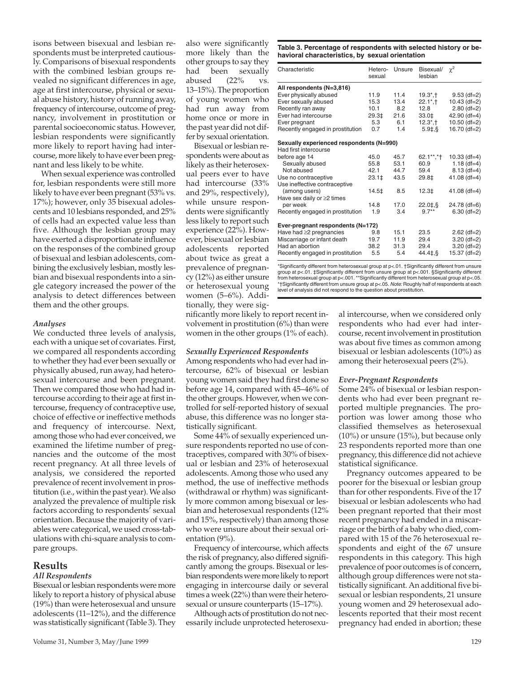isons between bisexual and lesbian respondents must be interpreted cautiously. Comparisons of bisexual respondents with the combined lesbian groups revealed no significant differences in age, age at first intercourse, physical or sexual abuse history, history of running away, frequency of intercourse, outcome of pregnancy, involvement in prostitution or parental socioeconomic status. However, lesbian respondents were significantly more likely to report having had intercourse, more likely to have ever been pregnant and less likely to be white.

When sexual experience was controlled for, lesbian respondents were still more likely to have ever been pregnant (53% vs. 17%); however, only 35 bisexual adolescents and 10 lesbians responded, and 25% of cells had an expected value less than five. Although the lesbian group may have exerted a disproportionate influence on the responses of the combined group of bisexual and lesbian adolescents, combining the exclusively lesbian, mostly lesbian and bisexual respondents into a single category increased the power of the analysis to detect differences between them and the other groups.

#### *Analyses*

We conducted three levels of analysis, each with a unique set of covariates. First, we compared all respondents according to whether they had ever been sexually or physically abused, run away, had heterosexual intercourse and been pregnant. Then we compared those who had had intercourse according to their age at first intercourse, frequency of contraceptive use, choice of effective or ineffective methods and frequency of intercourse. Next, among those who had ever conceived, we examined the lifetime number of pregnancies and the outcome of the most recent pregnancy. At all three levels of analysis, we considered the reported prevalence of recent involvement in prostitution (i.e., within the past year). We also analyzed the prevalence of multiple risk factors according to respondents' sexual orientation. Because the majority of variables were categorical, we used cross-tabulations with chi-square analysis to compare groups.

### **Results**

# *All Respondents*

Bisexual or lesbian respondents were more likely to report a history of physical abuse (19%) than were heterosexual and unsure adolescents (11–12%), and the difference was statistically significant (Table 3). They also were significantly more likely than the other groups to say they had been sexually abused (22% vs. 13–15%). The proportion of young women who had run away from home once or more in the past year did not differ by sexual orientation.

Bisexual or lesbian respondents were about as likely as their heterosexual peers ever to have had intercourse (33% and 29%, respectively), while unsure respondents were significantly less likely to report such experience (22%). However, bisexual or lesbian adolescents reported about twice as great a prevalence of pregnancy (12%) as either unsure or heterosexual young women (5–6%). Additionally, they were sig-

nificantly more likely to report recent involvement in prostitution (6%) than were women in the other groups (1% of each).

#### *Sexually Experienced Respondents*

Among respondents who had ever had intercourse, 62% of bisexual or lesbian young women said they had first done so before age 14, compared with 45–46% of the other groups. However, when we controlled for self-reported history of sexual abuse, this difference was no longer statistically significant.

Some 44% of sexually experienced unsure respondents reported no use of contraceptives, compared with 30% of bisexual or lesbian and 23% of heterosexual adolescents. Among those who used any method, the use of ineffective methods (withdrawal or rhythm) was significantly more common among bisexual or lesbian and heterosexual respondents (12% and 15%, respectively) than among those who were unsure about their sexual orientation (9%).

Frequency of intercourse, which affects the risk of pregnancy, also differed significantly among the groups. Bisexual or lesbian respondents were more likely to report engaging in intercourse daily or several times a week (22%) than were their heterosexual or unsure counterparts (15–17%).

Although acts of prostitution do not necessarily include unprotected heterosexu-

**Table 3. Percentage of respondents with selected history or behavioral characteristics, by sexual orientation**

| Characteristic                           | Hetero-<br>sexual | Unsure | Bisexual/<br>lesbian    | $\chi^2$       |
|------------------------------------------|-------------------|--------|-------------------------|----------------|
| All respondents (N=3,816)                |                   |        |                         |                |
| Ever physically abused                   | 11.9              | 11.4   | $19.3^*$ , †            | $9.53$ (df=2)  |
| Ever sexually abused                     | 15.3              | 13.4   | $22.1^*$ , †            | $10.43$ (df=2) |
| Recently ran away                        | 10.1              | 8.2    | 12.8                    | $2.80$ (df=2)  |
| Ever had intercourse                     | 29.3‡             | 21.6   | 33.0‡                   | 42.90 $(df=4)$ |
| Ever pregnant                            | 5.3               | 6.1    | $12.3^*$ . <sup>+</sup> | $10.50$ (df=2) |
| Recently engaged in prostitution         | 0.7               | 1.4    | $5.91,$ §               | 16.70 $(df=2)$ |
| Sexually experienced respondents (N=990) |                   |        |                         |                |
| Had first intercourse                    |                   |        |                         |                |
| before age 14                            | 45.0              | 45.7   | 62.1**,*†               | $10.33$ (df=4) |
| Sexually abused                          | 55.8              | 53.1   | 60.9                    | $1.18$ (df=4)  |
| Not abused                               | 42.1              | 44.7   | 59.4                    | $8.13$ (df=4)  |
| Use no contraceptive                     | 23.1 <sup>‡</sup> | 43.5   | 29.8‡                   | $41.08$ (df=4) |
| Use ineffective contraceptive            |                   |        |                         |                |
| (among users)                            | 14.5‡             | 8.5    | $12.3+$                 | $41.08$ (df=4) |
| Have sex daily or ≥2 times               |                   |        |                         |                |
| per week                                 | 14.8              | 17.0   | 22.018                  | $24.78$ (df=6) |
| Recently engaged in prostitution         | 1.9               | 3.4    | $9.7**$                 | $6.30$ (df=2)  |
| Ever-pregnant respondents (N=172)        |                   |        |                         |                |
| Have had $\geq$ 2 pregnancies            | 9.8               | 15.1   | 23.5                    | $2.62$ (df=2)  |
| Miscarriage or infant death              | 19.7              | 11.9   | 29.4                    | $3.20$ (df=2)  |
| Had an abortion                          | 38.2              | 31.3   | 29.4                    | $3.20$ (df=2)  |
| Recently engaged in prostitution         | 5.5               | 5.4    | $44.4\pm$ \$            | 15.37 (df=2)   |

\*Significantly different from heterosexual group at p<.01. †Significantly different from unsure group at p<.01. ‡Significantly different from unsure group at p<.001. §Significantly different from heterosexual group at p<.001. \*\*Significantly different from heterosexual group at p<.05. \*†Significantly different from unsure group at p<.05. *Note:* Roughly half of respondents at each level of analysis did not respond to the question about prostitution.

> al intercourse, when we considered only respondents who had ever had intercourse, recent involvement in prostitution was about five times as common among bisexual or lesbian adolescents (10%) as among their heterosexual peers (2%).

#### *Ever-Pregnant Respondents*

Some 24% of bisexual or lesbian respondents who had ever been pregnant reported multiple pregnancies. The proportion was lower among those who classified themselves as heterosexual (10%) or unsure (15%), but because only 23 respondents reported more than one pregnancy, this difference did not achieve statistical significance.

Pregnancy outcomes appeared to be poorer for the bisexual or lesbian group than for other respondents. Five of the 17 bisexual or lesbian adolescents who had been pregnant reported that their most recent pregnancy had ended in a miscarriage or the birth of a baby who died, compared with 15 of the 76 heterosexual respondents and eight of the 67 unsure respondents in this category. This high prevalence of poor outcomes is of concern, although group differences were not statistically significant. An additional five bisexual or lesbian respondents, 21 unsure young women and 29 heterosexual adolescents reported that their most recent pregnancy had ended in abortion; these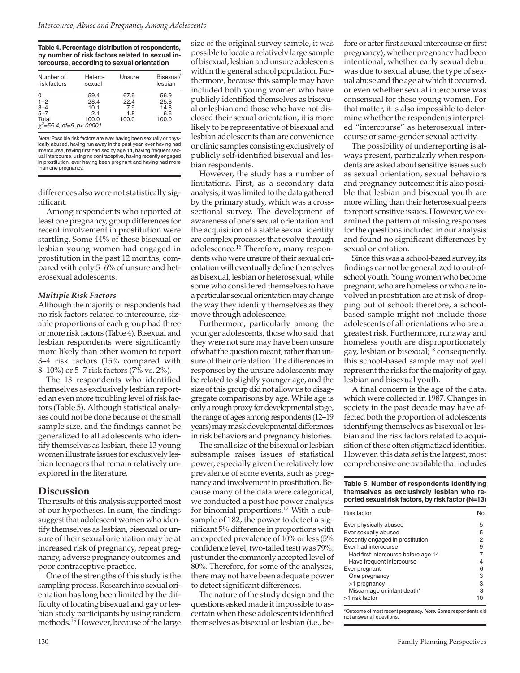**Table 4. Percentage distribution of respondents, by number of risk factors related to sexual intercourse, according to sexual orientation**

| Number of                                                                     | Hetero-                              | Unsure                              | Bisexual/                            |
|-------------------------------------------------------------------------------|--------------------------------------|-------------------------------------|--------------------------------------|
| risk factors                                                                  | sexual                               |                                     | lesbian                              |
| 0<br>$1 - 2$<br>$3 - 4$<br>$5 - 7$<br>Total<br>$\chi^2$ =55.4, df=6, p<.00001 | 59.4<br>28.4<br>10.1<br>2.1<br>100.0 | 67.9<br>22.4<br>7.9<br>1.8<br>100.0 | 56.9<br>25.8<br>14.8<br>6.6<br>100.0 |

*Note:* Possible risk factors are ever having been sexually or physically abused, having run away in the past year, ever having had intercourse, having first had sex by age 14, having frequent sexual intercourse, using no contraceptive, having recently engaged in prostitution, ever having been pregnant and having had more than one pregnancy.

differences also were not statistically significant.

Among respondents who reported at least one pregnancy, group differences for recent involvement in prostitution were startling. Some 44% of these bisexual or lesbian young women had engaged in prostitution in the past 12 months, compared with only 5–6% of unsure and heterosexual adolescents.

#### *Multiple Risk Factors*

Although the majority of respondents had no risk factors related to intercourse, sizable proportions of each group had three or more risk factors (Table 4). Bisexual and lesbian respondents were significantly more likely than other women to report 3–4 risk factors (15% compared with 8–10%) or 5–7 risk factors (7% vs. 2%).

The 13 respondents who identified themselves as exclusively lesbian reported an even more troubling level of risk factors (Table 5). Although statistical analyses could not be done because of the small sample size, and the findings cannot be generalized to all adolescents who identify themselves as lesbian, these 13 young women illustrate issues for exclusively lesbian teenagers that remain relatively unexplored in the literature.

## **Discussion**

The results of this analysis supported most of our hypotheses. In sum, the findings suggest that adolescent women who identify themselves as lesbian, bisexual or unsure of their sexual orientation may be at increased risk of pregnancy, repeat pregnancy, adverse pregnancy outcomes and poor contraceptive practice.

One of the strengths of this study is the sampling process. Research into sexual orientation has long been limited by the difficulty of locating bisexual and gay or lesbian study participants by using random methods.<sup>15</sup> However, because of the large size of the original survey sample, it was possible to locate a relatively large sample of bisexual, lesbian and unsure adolescents within the general school population. Furthermore, because this sample may have included both young women who have publicly identified themselves as bisexual or lesbian and those who have not disclosed their sexual orientation, it is more likely to be representative of bisexual and lesbian adolescents than are convenience or clinic samples consisting exclusively of publicly self-identified bisexual and lesbian respondents.

However, the study has a number of limitations. First, as a secondary data analysis, it was limited to the data gathered by the primary study, which was a crosssectional survey. The development of awareness of one's sexual orientation and the acquisition of a stable sexual identity are complex processes that evolve through adolescence.16 Therefore, many respondents who were unsure of their sexual orientation will eventually define themselves as bisexual, lesbian or heterosexual, while some who considered themselves to have a particular sexual orientation may change the way they identify themselves as they move through adolescence.

Furthermore, particularly among the younger adolescents, those who said that they were not sure may have been unsure of what the question meant, rather than unsure of their orientation. The differences in responses by the unsure adolescents may be related to slightly younger age, and the size of this group did not allow us to disaggregate comparisons by age. While age is only a rough proxy for developmental stage, the range of ages among respondents (12–19 years) may mask developmental differences in risk behaviors and pregnancy histories.

The small size of the bisexual or lesbian subsample raises issues of statistical power, especially given the relatively low prevalence of some events, such as pregnancy and involvement in prostitution. Because many of the data were categorical, we conducted a post hoc power analysis for binomial proportions.17 With a subsample of 182, the power to detect a significant 5% difference in proportions with an expected prevalence of 10% or less (5% confidence level, two-tailed test) was 79%, just under the commonly accepted level of 80%. Therefore, for some of the analyses, there may not have been adequate power to detect significant differences.

The nature of the study design and the questions asked made it impossible to ascertain when these adolescents identified themselves as bisexual or lesbian (i.e., be-

fore or after first sexual intercourse or first pregnancy), whether pregnancy had been intentional, whether early sexual debut was due to sexual abuse, the type of sexual abuse and the age at which it occurred, or even whether sexual intercourse was consensual for these young women. For that matter, it is also impossible to determine whether the respondents interpreted "intercourse" as heterosexual intercourse or same-gender sexual activity.

The possibility of underreporting is always present, particularly when respondents are asked about sensitive issues such as sexual orientation, sexual behaviors and pregnancy outcomes; it is also possible that lesbian and bisexual youth are more willing than their heterosexual peers to report sensitive issues. However, we examined the pattern of missing responses for the questions included in our analysis and found no significant differences by sexual orientation.

Since this was a school-based survey, its findings cannot be generalized to out-ofschool youth. Young women who become pregnant, who are homeless or who are involved in prostitution are at risk of dropping out of school; therefore, a schoolbased sample might not include those adolescents of all orientations who are at greatest risk. Furthermore, runaway and homeless youth are disproportionately gay, lesbian or bisexual;18 consequently, this school-based sample may not well represent the risks for the majority of gay, lesbian and bisexual youth.

A final concern is the age of the data, which were collected in 1987. Changes in society in the past decade may have affected both the proportion of adolescents identifying themselves as bisexual or lesbian and the risk factors related to acquisition of these often stigmatized identities. However, this data set is the largest, most comprehensive one available that includes

#### **Table 5. Number of respondents identifying themselves as exclusively lesbian who reported sexual risk factors, by risk factor (N=13)**

| <b>Risk factor</b>                  |   |
|-------------------------------------|---|
| Ever physically abused              | 5 |
| Ever sexually abused                | 5 |
| Recently engaged in prostitution    | 2 |
| Ever had intercourse                | 9 |
| Had first intercourse before age 14 |   |
| Have frequent intercourse           |   |
| Ever pregnant                       |   |
| One pregnancy                       | з |
| >1 pregnancy                        | з |
| Miscarriage or infant death*        | 3 |
| >1 risk factor                      |   |

\*Outcome of most recent pregnancy. *Note:* Some respondents did not answer all questions.